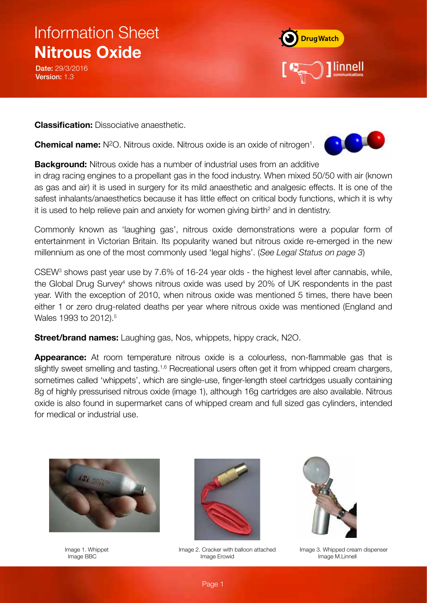Date: 29/3/2016 Version: 1.3



**Classification:** Dissociative anaesthetic.

**Chemical name:** N<sup>2</sup>O. Nitrous oxide. Nitrous oxide is an oxide of nitrogen<sup>1</sup>.



**Background:** Nitrous oxide has a number of industrial uses from an additive

in drag racing engines to a propellant gas in the food industry. When mixed 50/50 with air (known as gas and air) it is used in surgery for its mild anaesthetic and analgesic effects. It is one of the safest inhalants/anaesthetics because it has little effect on critical body functions, which it is why it is used to help relieve pain and anxiety for women giving birth<sup>2</sup> and in dentistry.

Commonly known as 'laughing gas', nitrous oxide demonstrations were a popular form of entertainment in Victorian Britain. Its popularity waned but nitrous oxide re-emerged in the new millennium as one of the most commonly used 'legal highs'. (*See Legal Status on page 3*)

CSEW<sup>3</sup> shows past year use by 7.6% of 16-24 year olds - the highest level after cannabis, while, the Global Drug Survey<sup>4</sup> shows nitrous oxide was used by 20% of UK respondents in the past year. With the exception of 2010, when nitrous oxide was mentioned 5 times, there have been either 1 or zero drug-related deaths per year where nitrous oxide was mentioned (England and Wales 1993 to 2012).<sup>5</sup>

**Street/brand names:** Laughing gas, Nos, whippets, hippy crack, N2O.

**Appearance:** At room temperature nitrous oxide is a colourless, non-flammable gas that is slightly sweet smelling and tasting.<sup>1,6</sup> Recreational users often get it from whipped cream chargers, sometimes called 'whippets', which are single-use, finger-length steel cartridges usually containing 8g of highly pressurised nitrous oxide (image 1), although 16g cartridges are also available. Nitrous oxide is also found in supermarket cans of whipped cream and full sized gas cylinders, intended for medical or industrial use.





 Image 1. Whippet Image 2. Cracker with balloon attached Image 3. Whipped cream dispenser Image BBC **Image Erowid** Image Erowid **Image Image Image Image Image Image Image Image Image Image Image Image Image Image Image Image Image Image Image Image Image Image Image Image Image Image Image Image Image Image Ima** 

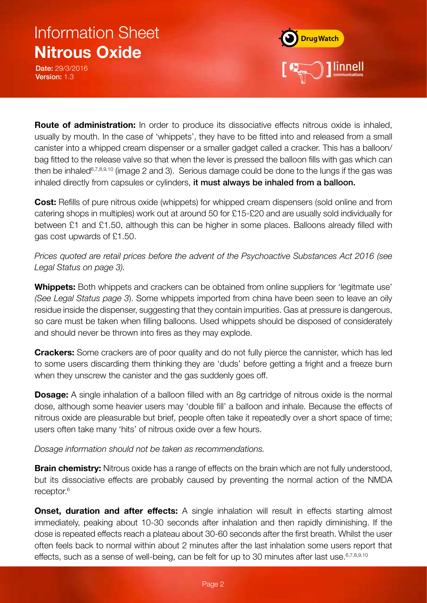Date: 29/3/2016 Version: 1.3



**Route of administration:** In order to produce its dissociative effects nitrous oxide is inhaled, usually by mouth. In the case of 'whippets', they have to be fitted into and released from a small canister into a whipped cream dispenser or a smaller gadget called a cracker. This has a balloon/ bag fitted to the release valve so that when the lever is pressed the balloon fills with gas which can then be inhaled<sup>6,7,8,9,10</sup> (image 2 and 3). Serious damage could be done to the lungs if the gas was inhaled directly from capsules or cylinders, it must always be inhaled from a balloon.

**Cost:** Refills of pure nitrous oxide (whippets) for whipped cream dispensers (sold online and from catering shops in multiples) work out at around 50 for £15-£20 and are usually sold individually for between £1 and £1.50, although this can be higher in some places. Balloons already filled with gas cost upwards of £1.50.

*Prices quoted are retail prices before the advent of the Psychoactive Substances Act 2016 (see Legal Status on page 3).*

**Whippets:** Both whippets and crackers can be obtained from online suppliers for 'legitmate use' *(See Legal Status page 3*). Some whippets imported from china have been seen to leave an oily residue inside the dispenser, suggesting that they contain impurities. Gas at pressure is dangerous, so care must be taken when filling balloons. Used whippets should be disposed of considerately and should never be thrown into fires as they may explode.

**Crackers:** Some crackers are of poor quality and do not fully pierce the cannister, which has led to some users discarding them thinking they are 'duds' before getting a fright and a freeze burn when they unscrew the canister and the gas suddenly goes off.

**Dosage:** A single inhalation of a balloon filled with an 8g cartridge of nitrous oxide is the normal dose, although some heavier users may 'double fill' a balloon and inhale. Because the effects of nitrous oxide are pleasurable but brief, people often take it repeatedly over a short space of time; users often take many 'hits' of nitrous oxide over a few hours.

### *Dosage information should not be taken as recommendations.*

**Brain chemistry:** Nitrous oxide has a range of effects on the brain which are not fully understood, but its dissociative effects are probably caused by preventing the normal action of the NMDA receptor.6

**Onset, duration and after effects:** A single inhalation will result in effects starting almost immediately, peaking about 10-30 seconds after inhalation and then rapidly diminishing. If the dose is repeated effects reach a plateau about 30-60 seconds after the first breath. Whilst the user often feels back to normal within about 2 minutes after the last inhalation some users report that effects, such as a sense of well-being, can be felt for up to 30 minutes after last use. 6,7,8,9,10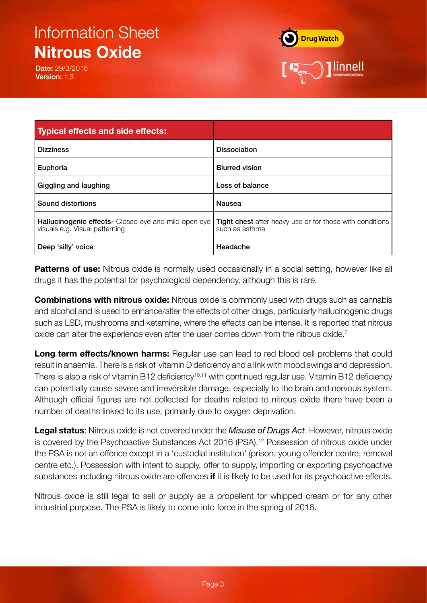Date: 29/3/2016 Version: 1.3



| <b>Typical effects and side effects:</b>                                                      |                                                                                   |
|-----------------------------------------------------------------------------------------------|-----------------------------------------------------------------------------------|
| <b>Dizziness</b>                                                                              | <b>Dissociation</b>                                                               |
| Euphoria                                                                                      | <b>Blurred vision</b>                                                             |
| Giggling and laughing                                                                         | Loss of balance                                                                   |
| Sound distortions                                                                             | Nausea                                                                            |
| <b>Hallucinogenic effects-</b> Closed eye and mild open eye<br>visuals e.g. Visual patterning | <b>Tight chest</b> after heavy use or for those with conditions<br>such as asthma |
| Deep 'silly' voice                                                                            | Headache                                                                          |

**Patterns of use:** Nitrous oxide is normally used occasionally in a social setting, however like all drugs it has the potential for psychological dependency, although this is rare.

**Combinations with nitrous oxide:** Nitrous oxide is commonly used with drugs such as cannabis and alcohol and is used to enhance/alter the effects of other drugs, particularly hallucinogenic drugs such as LSD, mushrooms and ketamine, where the effects can be intense. It is reported that nitrous oxide can alter the experience even after the user comes down from the nitrous oxide.<sup>7</sup>

**Long term effects/known harms:** Regular use can lead to red blood cell problems that could result in anaemia. There is a risk of vitamin D deficiency and a link with mood swings and depression. There is also a risk of vitamin B12 deficiency<sup>10,11</sup> with continued regular use. Vitamin B12 deficiency can potentially cause severe and irreversible damage, especially to the brain and nervous system. Although official figures are not collected for deaths related to nitrous oxide there have been a number of deaths linked to its use, primarily due to oxygen deprivation.

**Legal status**: Nitrous oxide is not covered under the *Misuse of Drugs Act*. However, nitrous oxide is covered by the Psychoactive Substances Act 2016 (PSA).<sup>12</sup> Possession of nitrous oxide under the PSA is not an offence except in a 'custodial institution' (prison, young offender centre, removal centre etc.). Possession with intent to supply, offer to supply, importing or exporting psychoactive substances including nitrous oxide are offences **if** it is likely to be used for its psychoactive effects.

Nitrous oxide is still legal to sell or supply as a propellent for whipped cream or for any other industrial purpose. The PSA is likely to come into force in the spring of 2016.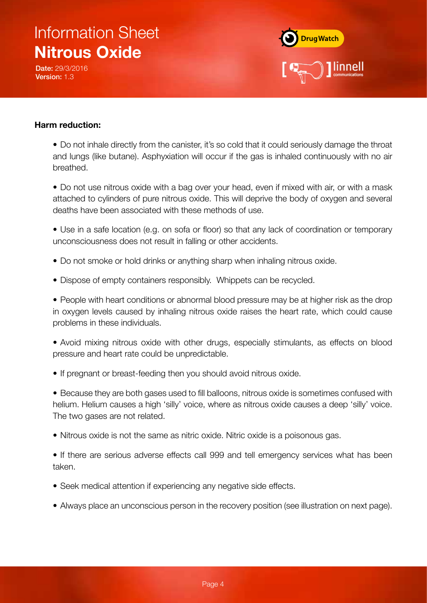Date: 29/3/2016 Version: 1.3



### **Harm reduction:**

• Do not inhale directly from the canister, it's so cold that it could seriously damage the throat and lungs (like butane). Asphyxiation will occur if the gas is inhaled continuously with no air breathed.

• Do not use nitrous oxide with a bag over your head, even if mixed with air, or with a mask attached to cylinders of pure nitrous oxide. This will deprive the body of oxygen and several deaths have been associated with these methods of use.

• Use in a safe location (e.g. on sofa or floor) so that any lack of coordination or temporary unconsciousness does not result in falling or other accidents.

- Do not smoke or hold drinks or anything sharp when inhaling nitrous oxide.
- Dispose of empty containers responsibly. Whippets can be recycled.

• People with heart conditions or abnormal blood pressure may be at higher risk as the drop in oxygen levels caused by inhaling nitrous oxide raises the heart rate, which could cause problems in these individuals.

• Avoid mixing nitrous oxide with other drugs, especially stimulants, as effects on blood pressure and heart rate could be unpredictable.

• If pregnant or breast-feeding then you should avoid nitrous oxide.

• Because they are both gases used to fill balloons, nitrous oxide is sometimes confused with helium. Helium causes a high 'silly' voice, where as nitrous oxide causes a deep 'silly' voice. The two gases are not related.

• Nitrous oxide is not the same as nitric oxide. Nitric oxide is a poisonous gas.

• If there are serious adverse effects call 999 and tell emergency services what has been taken.

- Seek medical attention if experiencing any negative side effects.
- Always place an unconscious person in the recovery position (see illustration on next page).